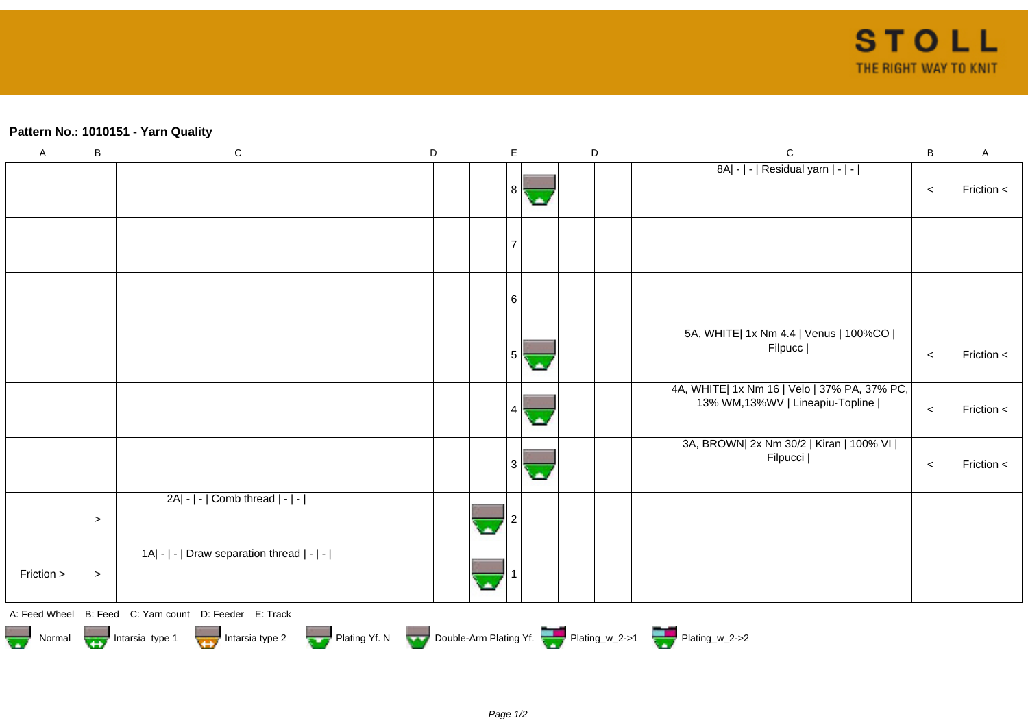## **Pattern No.: 1010151 - Yarn Quality**

| $\boldsymbol{\mathsf{A}}$ | B         | ${\bf C}$                                                                          | D | E | D | $\mathsf C$                                                                     | $\, {\bf B}$ | A            |
|---------------------------|-----------|------------------------------------------------------------------------------------|---|---|---|---------------------------------------------------------------------------------|--------------|--------------|
|                           |           |                                                                                    |   | 8 |   | 8A  -   -   Residual yarn   -   -                                               | $\,<$        | Friction <   |
|                           |           |                                                                                    |   | 7 |   |                                                                                 |              |              |
|                           |           |                                                                                    |   | 6 |   |                                                                                 |              |              |
|                           |           |                                                                                    |   |   |   | 5A, WHITE  1x Nm 4.4   Venus   100%CO  <br>Filpucc                              | $\,<$        | Friction $<$ |
|                           |           |                                                                                    |   |   |   | 4A, WHITE  1x Nm 16   Velo   37% PA, 37% PC,<br>13% WM,13%WV   Lineapiu-Topline | $\,<\,$      | Friction $<$ |
|                           |           |                                                                                    |   |   |   | 3A, BROWN  2x Nm 30/2   Kiran   100% VI  <br>Filpucci                           | $\,<$        | Friction <   |
|                           | $\, > \,$ | 2A  -   -   Comb thread   -   -                                                    |   |   |   |                                                                                 |              |              |
| Friction >                | $\, >$    | 1A  -   -   Draw separation thread   -   -                                         |   |   |   |                                                                                 |              |              |
|                           |           | A: Feed Wheel B: Feed C: Yarn count D: Feeder E: Track                             |   |   |   |                                                                                 |              |              |
|                           |           | Normal Mormal Intarsia type 1 Intarsia type 2 Plating Yf. N Double-Arm Plating Yf. |   |   |   |                                                                                 |              |              |